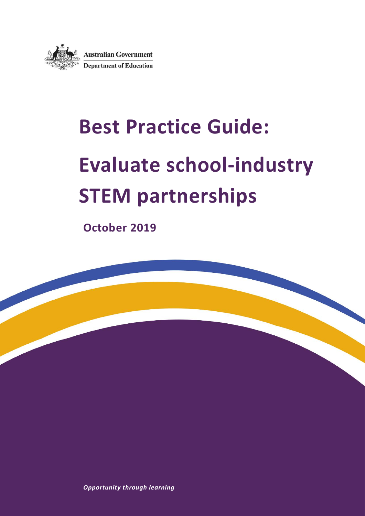

# **Best Practice Guide: Evaluate school-industry STEM partnerships**

**October 2019**

*Opportunity through learning*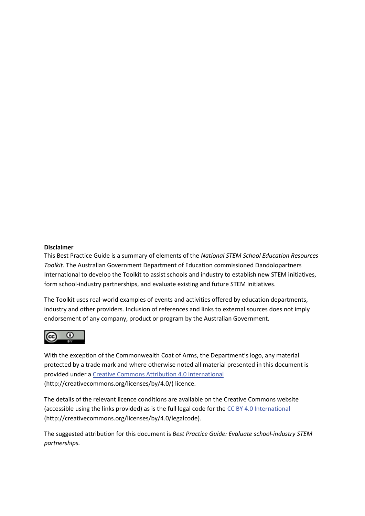#### **Disclaimer**

This Best Practice Guide is a summary of elements of the *National STEM School Education Resources Toolkit*. The Australian Government Department of Education commissioned Dandolopartners International to develop the Toolkit to assist schools and industry to establish new STEM initiatives, form school-industry partnerships, and evaluate existing and future STEM initiatives.

The Toolkit uses real-world examples of events and activities offered by education departments, industry and other providers. Inclusion of references and links to external sources does not imply endorsement of any company, product or program by the Australian Government.



With the exception of the Commonwealth Coat of Arms, the Department's logo, any material protected by a trade mark and where otherwise noted all material presented in this document is provided under a [Creative Commons Attribution 4.0 International](http://dnet.hosts.network/education/Resources/Documents/Creative%20Commons%20Attribution%204.0%20International) (http://creativecommons.org/licenses/by/4.0/) licence.

The details of the relevant licence conditions are available on the Creative Commons website (accessible using the links provided) as is the full legal code for th[e CC BY 4.0 International](http://dnet.hosts.network/education/Resources/Documents/CC%20BY%204.0%20International) (http://creativecommons.org/licenses/by/4.0/legalcode).

The suggested attribution for this document is *Best Practice Guide: Evaluate school-industry STEM partnerships.*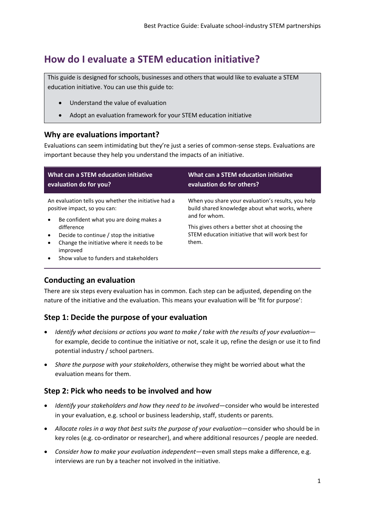## **How do I evaluate a STEM education initiative?**

This guide is designed for schools, businesses and others that would like to evaluate a STEM education initiative. You can use this guide to:

- Understand the value of evaluation
- Adopt an evaluation framework for your STEM education initiative

## **Why are evaluations important?**

Evaluations can seem intimidating but they're just a series of common-sense steps. Evaluations are important because they help you understand the impacts of an initiative.

| What can a STEM education initiative<br>evaluation do for you?                                                                                                                                                                                                                                              | <b>What can a STEM education initiative</b><br>evaluation do for others?                                              |
|-------------------------------------------------------------------------------------------------------------------------------------------------------------------------------------------------------------------------------------------------------------------------------------------------------------|-----------------------------------------------------------------------------------------------------------------------|
| An evaluation tells you whether the initiative had a<br>positive impact, so you can:<br>Be confident what you are doing makes a<br>$\bullet$<br>difference<br>Decide to continue / stop the initiative<br>Change the initiative where it needs to be.<br>improved<br>Show value to funders and stakeholders | When you share your evaluation's results, you help<br>build shared knowledge about what works, where<br>and for whom. |
|                                                                                                                                                                                                                                                                                                             | This gives others a better shot at choosing the<br>STEM education initiative that will work best for<br>them.         |

## **Conducting an evaluation**

There are six steps every evaluation has in common. Each step can be adjusted, depending on the nature of the initiative and the evaluation. This means your evaluation will be 'fit for purpose':

## **Step 1: Decide the purpose of your evaluation**

- *Identify what decisions or actions you want to make / take with the results of your evaluation* for example, decide to continue the initiative or not, scale it up, refine the design or use it to find potential industry / school partners.
- *Share the purpose with your stakeholders*, otherwise they might be worried about what the evaluation means for them.

## **Step 2: Pick who needs to be involved and how**

- *Identify your stakeholders and how they need to be involved*—consider who would be interested in your evaluation, e.g. school or business leadership, staff, students or parents.
- *Allocate roles in a way that best suits the purpose of your evaluation*—consider who should be in key roles (e.g. co-ordinator or researcher), and where additional resources / people are needed.
- *Consider how to make your evaluation independent*—even small steps make a difference, e.g. interviews are run by a teacher not involved in the initiative.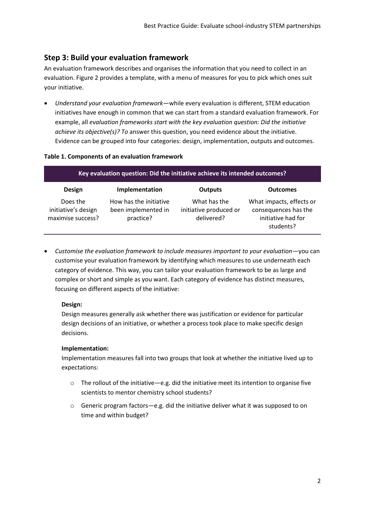## **Step 3: Build your evaluation framework**

An evaluation framework describes and organises the information that you need to collect in an evaluation. Figure 2 provides a template, with a menu of measures for you to pick which ones suit your initiative.

 *Understand your evaluation framework*—while every evaluation is different, STEM education initiatives have enough in common that we can start from a standard evaluation framework. For example, all *evaluation frameworks start with the key evaluation question: Did the initiative achieve its objective(s)? To* answer this question, you need evidence about the initiative. Evidence can be grouped into four categories: design, implementation, outputs and outcomes.

#### **Table 1. Components of an evaluation framework**

| Key evaluation question: Did the initiative achieve its intended outcomes? |                                                            |                                                      |                                                                                     |  |  |
|----------------------------------------------------------------------------|------------------------------------------------------------|------------------------------------------------------|-------------------------------------------------------------------------------------|--|--|
| <b>Design</b>                                                              | Implementation                                             | <b>Outputs</b>                                       | <b>Outcomes</b>                                                                     |  |  |
| Does the<br>initiative's design<br>maximise success?                       | How has the initiative<br>been implemented in<br>practice? | What has the<br>initiative produced or<br>delivered? | What impacts, effects or<br>consequences has the<br>initiative had for<br>students? |  |  |

 *Customise the evaluation framework to include measures important to your evaluation*—you can customise your evaluation framework by identifying which measures to use underneath each category of evidence. This way, you can tailor your evaluation framework to be as large and complex or short and simple as you want. Each category of evidence has distinct measures, focusing on different aspects of the initiative:

#### **Design:**

Design measures generally ask whether there was justification or evidence for particular design decisions of an initiative, or whether a process took place to make specific design decisions.

#### **Implementation:**

Implementation measures fall into two groups that look at whether the initiative lived up to expectations:

- $\circ$  The rollout of the initiative—e.g. did the initiative meet its intention to organise five scientists to mentor chemistry school students?
- $\circ$  Generic program factors—e.g. did the initiative deliver what it was supposed to on time and within budget?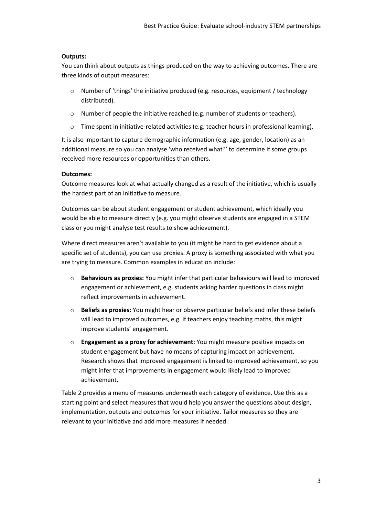#### **Outputs:**

You can think about outputs as things produced on the way to achieving outcomes. There are three kinds of output measures:

- $\circ$  Number of 'things' the initiative produced (e.g. resources, equipment / technology distributed).
- o Number of people the initiative reached (e.g. number of students or teachers).
- $\circ$  Time spent in initiative-related activities (e.g. teacher hours in professional learning).

It is also important to capture demographic information (e.g. age, gender, location) as an additional measure so you can analyse 'who received what?' to determine if some groups received more resources or opportunities than others.

#### **Outcomes:**

Outcome measures look at what actually changed as a result of the initiative, which is usually the hardest part of an initiative to measure.

Outcomes can be about student engagement or student achievement, which ideally you would be able to measure directly (e.g. you might observe students are engaged in a STEM class or you might analyse test results to show achievement).

Where direct measures aren't available to you (it might be hard to get evidence about a specific set of students), you can use proxies. A proxy is something associated with what you are trying to measure. Common examples in education include:

- o **Behaviours as proxies:** You might infer that particular behaviours will lead to improved engagement or achievement, e.g. students asking harder questions in class might reflect improvements in achievement.
- o **Beliefs as proxies:** You might hear or observe particular beliefs and infer these beliefs will lead to improved outcomes, e.g. if teachers enjoy teaching maths, this might improve students' engagement.
- o **Engagement as a proxy for achievement:** You might measure positive impacts on student engagement but have no means of capturing impact on achievement. Research shows that improved engagement is linked to improved achievement, so you might infer that improvements in engagement would likely lead to improved achievement.

Table 2 provides a menu of measures underneath each category of evidence. Use this as a starting point and select measures that would help you answer the questions about design, implementation, outputs and outcomes for your initiative. Tailor measures so they are relevant to your initiative and add more measures if needed.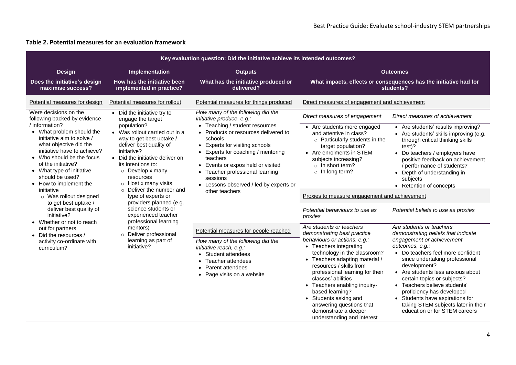#### **Table 2. Potential measures for an evaluation framework**

| Key evaluation question: Did the initiative achieve its intended outcomes?                                                                                                                                                                                                                                                                                                                                                                                                                                                                                                                                                                                                                                                                                                                                                                                                                                                                                                                                                                                                                                                |                                                                                                                                                                                                                                                                                                                                                                                         |                                                                                                                                                                                                                                                                                                                                                      |                                                                                                                                                                                                                                                                                                                                                                                                                                       |                                                                                                                                                                                                                                                                                                                                                                                                                                                    |
|---------------------------------------------------------------------------------------------------------------------------------------------------------------------------------------------------------------------------------------------------------------------------------------------------------------------------------------------------------------------------------------------------------------------------------------------------------------------------------------------------------------------------------------------------------------------------------------------------------------------------------------------------------------------------------------------------------------------------------------------------------------------------------------------------------------------------------------------------------------------------------------------------------------------------------------------------------------------------------------------------------------------------------------------------------------------------------------------------------------------------|-----------------------------------------------------------------------------------------------------------------------------------------------------------------------------------------------------------------------------------------------------------------------------------------------------------------------------------------------------------------------------------------|------------------------------------------------------------------------------------------------------------------------------------------------------------------------------------------------------------------------------------------------------------------------------------------------------------------------------------------------------|---------------------------------------------------------------------------------------------------------------------------------------------------------------------------------------------------------------------------------------------------------------------------------------------------------------------------------------------------------------------------------------------------------------------------------------|----------------------------------------------------------------------------------------------------------------------------------------------------------------------------------------------------------------------------------------------------------------------------------------------------------------------------------------------------------------------------------------------------------------------------------------------------|
| <b>Design</b>                                                                                                                                                                                                                                                                                                                                                                                                                                                                                                                                                                                                                                                                                                                                                                                                                                                                                                                                                                                                                                                                                                             | Implementation                                                                                                                                                                                                                                                                                                                                                                          | <b>Outputs</b>                                                                                                                                                                                                                                                                                                                                       |                                                                                                                                                                                                                                                                                                                                                                                                                                       | <b>Outcomes</b>                                                                                                                                                                                                                                                                                                                                                                                                                                    |
| Does the initiative's design<br>maximise success?                                                                                                                                                                                                                                                                                                                                                                                                                                                                                                                                                                                                                                                                                                                                                                                                                                                                                                                                                                                                                                                                         | How has the initiative been<br>implemented in practice?                                                                                                                                                                                                                                                                                                                                 | What has the initiative produced or<br>delivered?                                                                                                                                                                                                                                                                                                    |                                                                                                                                                                                                                                                                                                                                                                                                                                       | What impacts, effects or consequences has the initiative had for<br>students?                                                                                                                                                                                                                                                                                                                                                                      |
| Potential measures for design                                                                                                                                                                                                                                                                                                                                                                                                                                                                                                                                                                                                                                                                                                                                                                                                                                                                                                                                                                                                                                                                                             | Potential measures for rollout                                                                                                                                                                                                                                                                                                                                                          | Potential measures for things produced                                                                                                                                                                                                                                                                                                               | Direct measures of engagement and achievement                                                                                                                                                                                                                                                                                                                                                                                         |                                                                                                                                                                                                                                                                                                                                                                                                                                                    |
| Were decisions on the<br>• Did the initiative try to<br>following backed by evidence<br>engage the target<br>/ information?<br>population?<br>• What problem should the<br>• Was rollout carried out in a<br>initiative aim to solve /<br>way to get best uptake /<br>what objective did the<br>deliver best quality of<br>initiative have to achieve?<br>initiative?<br>• Who should be the focus<br>• Did the initiative deliver on<br>of the initiative?<br>its intentions to:<br>• What type of initiative<br>$\circ$ Develop x many<br>should be used?<br>resources<br>$\circ$ Host x many visits<br>• How to implement the<br>Deliver the number and<br>initiative<br>$\Omega$<br>type of experts or<br>$\circ$ Was rollout designed<br>providers planned (e.g.<br>to get best uptake /<br>science students or<br>deliver best quality of<br>experienced teacher<br>initiative?<br>professional learning<br>• Whether or not to reach<br>mentors)<br>out for partners<br>Deliver professional<br>$\circ$<br>• Did the resources /<br>learning as part of<br>activity co-ordinate with<br>initiative?<br>curriculum? | How many of the following did the<br>initiative produce, e.g.:<br>• Teaching / student resources<br>• Products or resources delivered to<br>schools<br>• Experts for visiting schools<br>• Experts for coaching / mentoring<br>teachers<br>• Events or expos held or visited<br>• Teacher professional learning<br>sessions<br>• Lessons observed / led by experts or<br>other teachers | Direct measures of engagement<br>• Are students more engaged<br>and attentive in class?<br>$\circ$ Particularly students in the<br>target population?<br>• Are enrolments in STEM<br>subjects increasing?<br>$\circ$ In short term?<br>o In long term?<br>Proxies to measure engagement and achievement<br>Potential behaviours to use as<br>proxies | Direct measures of achievement<br>• Are students' results improving?<br>• Are students' skills improving (e.g.<br>through critical thinking skills<br>test)?<br>• Do teachers / employers have<br>positive feedback on achievement<br>/ performance of students?<br>• Depth of understanding in<br>subjects<br>• Retention of concepts<br>Potential beliefs to use as proxies                                                         |                                                                                                                                                                                                                                                                                                                                                                                                                                                    |
|                                                                                                                                                                                                                                                                                                                                                                                                                                                                                                                                                                                                                                                                                                                                                                                                                                                                                                                                                                                                                                                                                                                           |                                                                                                                                                                                                                                                                                                                                                                                         | Potential measures for people reached<br>How many of the following did the<br>initiative reach, e.g.:<br>• Student attendees<br>Teacher attendees<br>Parent attendees<br>Page visits on a website                                                                                                                                                    | Are students or teachers<br>demonstrating best practice<br>behaviours or actions, e.g.:<br>• Teachers integrating<br>technology in the classroom?<br>• Teachers adapting material /<br>resources / skills from<br>professional learning for their<br>classes' abilities<br>• Teachers enabling inquiry-<br>based learning?<br>• Students asking and<br>answering questions that<br>demonstrate a deeper<br>understanding and interest | Are students or teachers<br>demonstrating beliefs that indicate<br>engagement or achievement<br>outcomes, e.g.:<br>• Do teachers feel more confident<br>since undertaking professional<br>development?<br>• Are students less anxious about<br>certain topics or subjects?<br>• Teachers believe students'<br>proficiency has developed<br>• Students have aspirations for<br>taking STEM subjects later in their<br>education or for STEM careers |